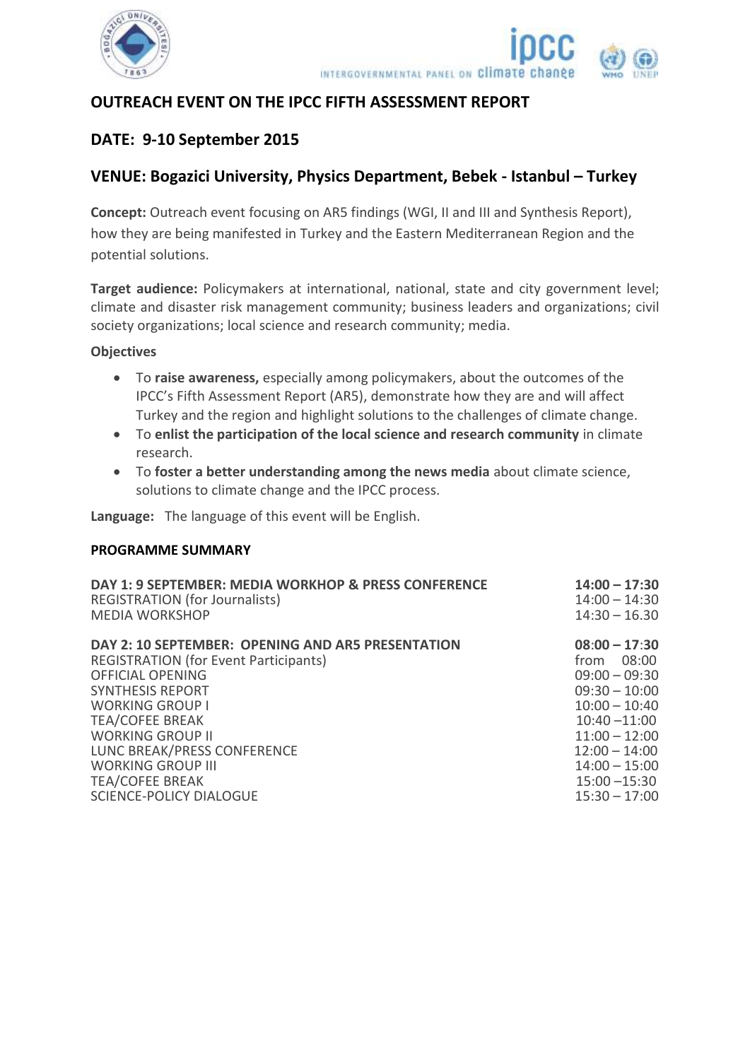



# **OUTREACH EVENT ON THE IPCC FIFTH ASSESSMENT REPORT**

# **DATE: 9-10 September 2015**

## **VENUE: Bogazici University, Physics Department, Bebek - Istanbul – Turkey**

**Concept:** Outreach event focusing on AR5 findings (WGI, II and III and Synthesis Report), how they are being manifested in Turkey and the Eastern Mediterranean Region and the potential solutions.

**Target audience:** Policymakers at international, national, state and city government level; climate and disaster risk management community; business leaders and organizations; civil society organizations; local science and research community; media.

#### **Objectives**

- To **raise awareness,** especially among policymakers, about the outcomes of the IPCC's Fifth Assessment Report (AR5), demonstrate how they are and will affect Turkey and the region and highlight solutions to the challenges of climate change.
- To **enlist the participation of the local science and research community** in climate research.
- To **foster a better understanding among the news media** about climate science, solutions to climate change and the IPCC process.

**Language:** The language of this event will be English.

#### **PROGRAMME SUMMARY**

| DAY 2: 10 SEPTEMBER: OPENING AND AR5 PRESENTATION<br>$08:00 - 17:30$<br><b>REGISTRATION (for Event Participants)</b><br>from 08:00<br>OFFICIAL OPFNING<br>$09:00 - 09:30$<br><b>SYNTHESIS REPORT</b><br>$09:30 - 10:00$<br><b>WORKING GROUP I</b><br>$10:00 - 10:40$<br><b>TEA/COFEE BREAK</b><br>$10:40 - 11:00$<br><b>WORKING GROUP II</b><br>$11:00 - 12:00$<br>LUNC BREAK/PRESS CONFERENCE<br>$12:00 - 14:00$<br><b>WORKING GROUP III</b><br>$14:00 - 15:00$<br><b>TEA/COFEE BREAK</b><br>$15:00 - 15:30$ | DAY 1: 9 SEPTEMBER: MEDIA WORKHOP & PRESS CONFERENCE<br><b>REGISTRATION (for Journalists)</b><br><b>MEDIA WORKSHOP</b> | $14:00 - 17:30$<br>$14:00 - 14:30$<br>$14:30 - 16.30$ |
|---------------------------------------------------------------------------------------------------------------------------------------------------------------------------------------------------------------------------------------------------------------------------------------------------------------------------------------------------------------------------------------------------------------------------------------------------------------------------------------------------------------|------------------------------------------------------------------------------------------------------------------------|-------------------------------------------------------|
|                                                                                                                                                                                                                                                                                                                                                                                                                                                                                                               | <b>SCIENCE-POLICY DIALOGUE</b>                                                                                         | $15:30 - 17:00$                                       |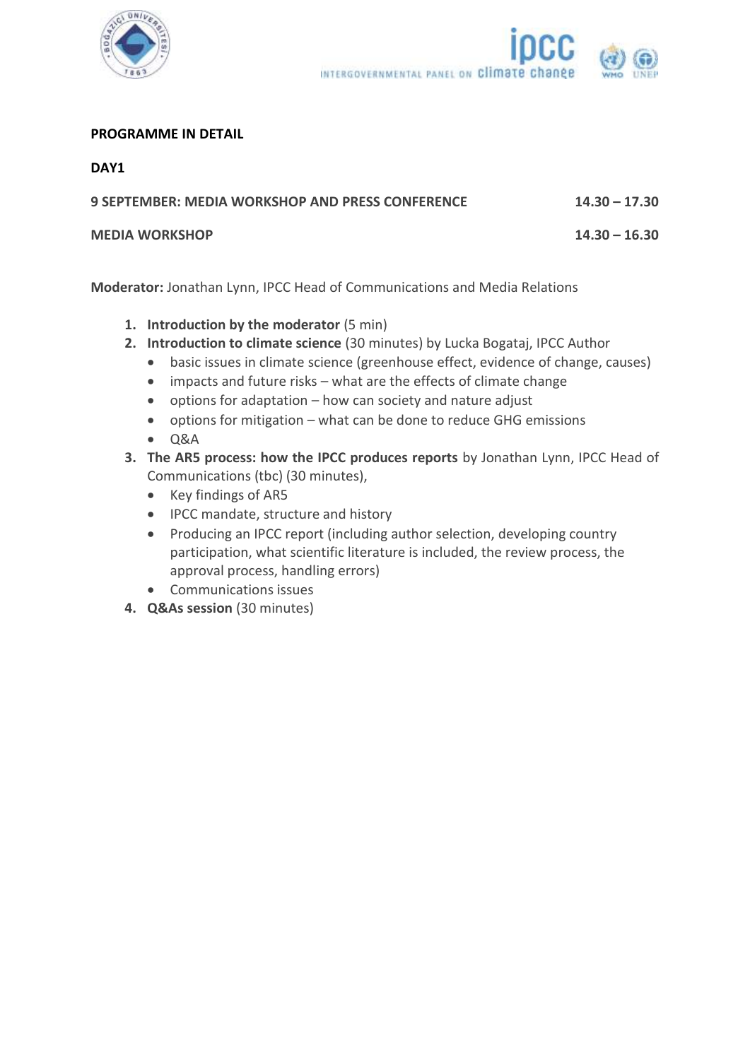

**DAY1**



### **PROGRAMME IN DETAIL**

| <b>9 SEPTEMBER: MEDIA WORKSHOP AND PRESS CONFERENCE</b> | $14.30 - 17.30$ |
|---------------------------------------------------------|-----------------|
| <b>MEDIA WORKSHOP</b>                                   | $14.30 - 16.30$ |

**Moderator:** Jonathan Lynn, IPCC Head of Communications and Media Relations

- **1. Introduction by the moderator** (5 min)
- **2. Introduction to climate science** (30 minutes) by Lucka Bogataj, IPCC Author
	- basic issues in climate science (greenhouse effect, evidence of change, causes)
	- impacts and future risks what are the effects of climate change
	- $\bullet$  options for adaptation how can society and nature adjust
	- options for mitigation what can be done to reduce GHG emissions
	- $ORA$
- **3. The AR5 process: how the IPCC produces reports** by Jonathan Lynn, IPCC Head of Communications (tbc) (30 minutes),
	- Key findings of AR5
	- IPCC mandate, structure and history
	- Producing an IPCC report (including author selection, developing country participation, what scientific literature is included, the review process, the approval process, handling errors)
	- Communications issues
- **4. Q&As session** (30 minutes)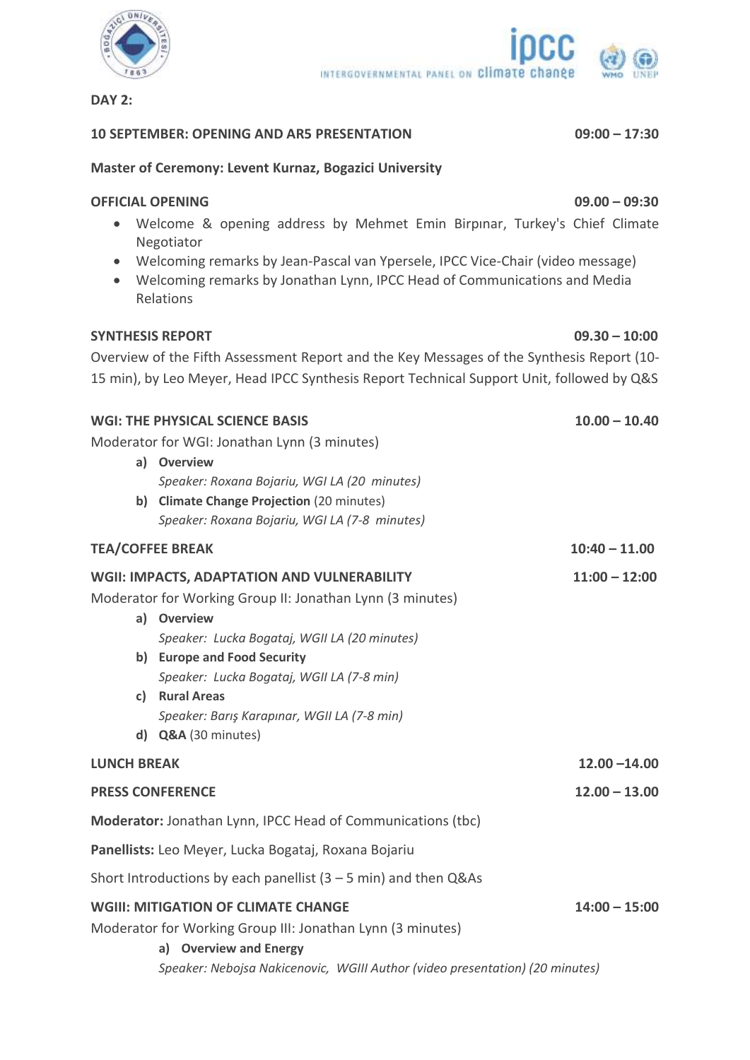

**10 SEPTEMBER: OPENING AND AR5 PRESENTATION 09:00 – 17:30**

### **Master of Ceremony: Levent Kurnaz, Bogazici University**

### **OFFICIAL OPENING 09.00 – 09:30**

- Welcome & opening address by Mehmet Emin Birpınar, Turkey's Chief Climate Negotiator
- Welcoming remarks by Jean-Pascal van Ypersele, IPCC Vice-Chair (video message)
- Welcoming remarks by Jonathan Lynn, IPCC Head of Communications and Media Relations

#### **SYNTHESIS REPORT 09.30 – 10:00**

Overview of the Fifth Assessment Report and the Key Messages of the Synthesis Report (10- 15 min), by Leo Meyer, Head IPCC Synthesis Report Technical Support Unit, followed by Q&S

|                         | <b>WGI: THE PHYSICAL SCIENCE BASIS</b>                                       | $10.00 - 10.40$ |
|-------------------------|------------------------------------------------------------------------------|-----------------|
|                         | Moderator for WGI: Jonathan Lynn (3 minutes)                                 |                 |
|                         | a) Overview                                                                  |                 |
|                         | Speaker: Roxana Bojariu, WGI LA (20 minutes)                                 |                 |
|                         | b) Climate Change Projection (20 minutes)                                    |                 |
|                         | Speaker: Roxana Bojariu, WGI LA (7-8 minutes)                                |                 |
| <b>TEA/COFFEE BREAK</b> |                                                                              | $10:40 - 11.00$ |
|                         | WGII: IMPACTS, ADAPTATION AND VULNERABILITY                                  | $11:00 - 12:00$ |
|                         | Moderator for Working Group II: Jonathan Lynn (3 minutes)                    |                 |
|                         | a) Overview                                                                  |                 |
|                         | Speaker: Lucka Bogataj, WGII LA (20 minutes)                                 |                 |
|                         | b) Europe and Food Security                                                  |                 |
|                         | Speaker: Lucka Bogataj, WGII LA (7-8 min)                                    |                 |
|                         | c) Rural Areas                                                               |                 |
|                         | Speaker: Barış Karapınar, WGII LA (7-8 min)                                  |                 |
|                         | d) Q&A (30 minutes)                                                          |                 |
| <b>LUNCH BREAK</b>      |                                                                              | $12.00 - 14.00$ |
| <b>PRESS CONFERENCE</b> |                                                                              | $12.00 - 13.00$ |
|                         | Moderator: Jonathan Lynn, IPCC Head of Communications (tbc)                  |                 |
|                         | Panellists: Leo Meyer, Lucka Bogataj, Roxana Bojariu                         |                 |
|                         | Short Introductions by each panellist $(3 - 5 \text{ min})$ and then Q&As    |                 |
|                         | <b>WGIII: MITIGATION OF CLIMATE CHANGE</b>                                   | $14:00 - 15:00$ |
|                         | Moderator for Working Group III: Jonathan Lynn (3 minutes)                   |                 |
|                         | a) Overview and Energy                                                       |                 |
|                         | Speaker: Nebojsa Nakicenovic, WGIII Author (video presentation) (20 minutes) |                 |



**DAY 2:**